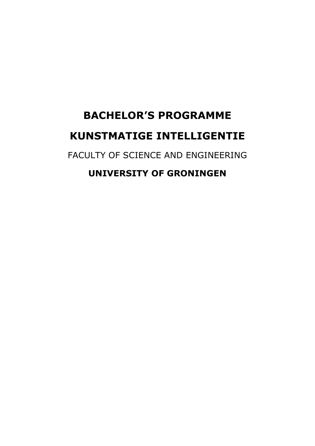# **BACHELOR'S PROGRAMME KUNSTMATIGE INTELLIGENTIE** FACULTY OF SCIENCE AND ENGINEERING

**UNIVERSITY OF GRONINGEN**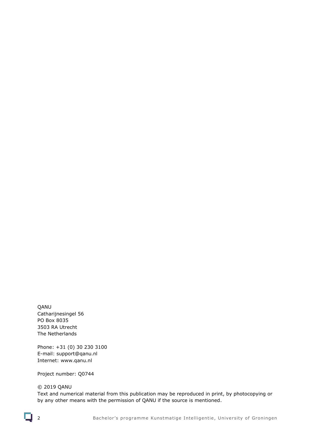QANU Catharijnesingel 56 PO Box 8035 3503 RA Utrecht The Netherlands

Phone: +31 (0) 30 230 3100 E-mail: support@qanu.nl Internet: www.qanu.nl

Project number: Q0744

### © 2019 QANU

Text and numerical material from this publication may be reproduced in print, by photocopying or by any other means with the permission of QANU if the source is mentioned.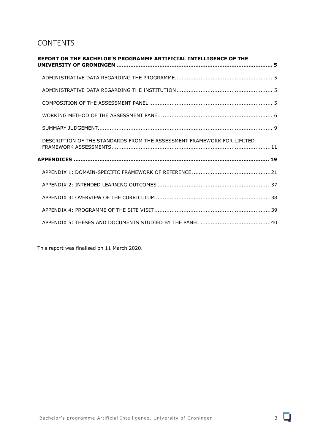# CONTENTS

| REPORT ON THE BACHELOR'S PROGRAMME ARTIFICIAL INTELLIGENCE OF THE      |
|------------------------------------------------------------------------|
|                                                                        |
|                                                                        |
|                                                                        |
|                                                                        |
|                                                                        |
| DESCRIPTION OF THE STANDARDS FROM THE ASSESSMENT FRAMEWORK FOR LIMITED |
|                                                                        |
|                                                                        |
|                                                                        |
|                                                                        |
|                                                                        |
|                                                                        |

This report was finalised on 11 March 2020.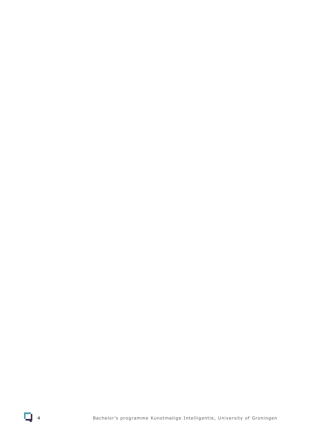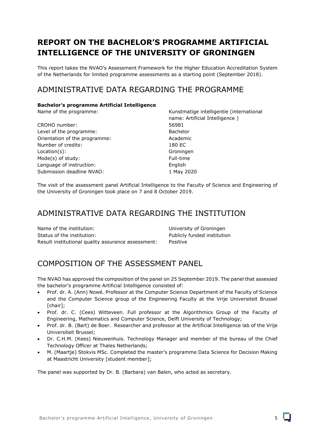# <span id="page-4-0"></span>**REPORT ON THE BACHELOR'S PROGRAMME ARTIFICIAL INTELLIGENCE OF THE UNIVERSITY OF GRONINGEN**

This report takes the NVAO's Assessment Framework for the Higher Education Accreditation System of the Netherlands for limited programme assessments as a starting point (September 2018).

# <span id="page-4-1"></span>ADMINISTRATIVE DATA REGARDING THE PROGRAMME

# **Bachelor's programme Artificial Intelligence**

CROHO number: 56981 Level of the programme: Bachelor Orientation of the programme:  $\sqrt{a}$  Academic Number of credits: 180 EC Location(s): Groningen Mode(s) of study: The study: Full-time Language of instruction: English Submission deadline NVAO: 1 May 2020

Name of the programme: Name is a set of the programme: Kunstmatige intelligentie (international name: Artificial Intelligence )

The visit of the assessment panel Artificial Intelligence to the Faculty of Science and Engineering of the University of Groningen took place on 7 and 8 October 2019.

# <span id="page-4-2"></span>ADMINISTRATIVE DATA REGARDING THE INSTITUTION

Name of the institution: Name of the institution: Status of the institution: The institution of the institution in the example of the institution of the institution Result institutional quality assurance assessment: Positive

# <span id="page-4-3"></span>COMPOSITION OF THE ASSESSMENT PANEL

The NVAO has approved the composition of the panel on 25 September 2019. The panel that assessed the bachelor's programme Artificial Intelligence consisted of:

- Prof. dr. A. (Ann) Nowé. Professor at the Computer Science Department of the Faculty of Science and the Computer Science group of the Engineering Faculty at the Vrije Universiteit Brussel [chair]:
- Prof. dr. C. (Cees) Witteveen. Full professor at the Algorithmics Group of the Faculty of Engineering, Mathematics and Computer Science, Delft University of Technology;
- Prof. dr. B. (Bart) de Boer. Researcher and professor at the Artificial Intelligence lab of the Vrije Universiteit Brussel;
- Dr. C.H.M. (Kees) Nieuwenhuis. Technology Manager and member of the bureau of the Chief Technology Officer at Thales Netherlands;
- M. (Maartje) Stokvis MSc. Completed the master's programme Data Science for Decision Making at Maastricht University [student member];

The panel was supported by Dr. B. (Barbara) van Balen, who acted as secretary.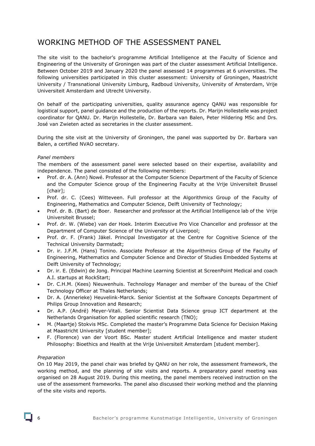# <span id="page-5-0"></span>WORKING METHOD OF THE ASSESSMENT PANEL

The site visit to the bachelor's programme Artificial Intelligence at the Faculty of Science and Engineering of the University of Groningen was part of the cluster assessment Artificial Intelligence. Between October 2019 and January 2020 the panel assessed 14 programmes at 6 universities. The following universities participated in this cluster assessment: University of Groningen, Maastricht University / Transnational University Limburg, Radboud University, University of Amsterdam, Vrije Universiteit Amsterdam and Utrecht University.

On behalf of the participating universities, quality assurance agency QANU was responsible for logistical support, panel guidance and the production of the reports. Dr. Marijn Hollestelle was project coordinator for QANU. Dr. Marijn Hollestelle, Dr. Barbara van Balen, Peter Hildering MSc and Drs. José van Zwieten acted as secretaries in the cluster assessment.

During the site visit at the University of Groningen, the panel was supported by Dr. Barbara van Balen, a certified NVAO secretary.

# *Panel members*

The members of the assessment panel were selected based on their expertise, availability and independence. The panel consisted of the following members:

- Prof. dr. A. (Ann) Nowé. Professor at the Computer Science Department of the Faculty of Science and the Computer Science group of the Engineering Faculty at the Vrije Universiteit Brussel [chair];
- Prof. dr. C. (Cees) Witteveen. Full professor at the Algorithmics Group of the Faculty of Engineering, Mathematics and Computer Science, Delft University of Technology;
- Prof. dr. B. (Bart) de Boer. Researcher and professor at the Artificial Intelligence lab of the Vrije Universiteit Brussel;
- Prof. dr. W. (Wiebe) van der Hoek. Interim Executive Pro Vice Chancellor and professor at the Department of Computer Science of the University of Liverpool;
- Prof. dr. F. (Frank) Jäkel. Principal Investigator at the Centre for Cognitive Science of the Technical University Darmstadt;
- Dr. ir. J.F.M. (Hans) Tonino. Associate Professor at the Algorithmics Group of the Faculty of Engineering, Mathematics and Computer Science and Director of Studies Embedded Systems at Delft University of Technology;
- Dr. ir. E. (Edwin) de Jong. Principal Machine Learning Scientist at ScreenPoint Medical and coach A.I. startups at RockStart;
- Dr. C.H.M. (Kees) Nieuwenhuis. Technology Manager and member of the bureau of the Chief Technology Officer at Thales Netherlands;
- Dr. A. (Annerieke) Heuvelink-Marck. Senior Scientist at the Software Concepts Department of Philips Group Innovation and Research;
- Dr. A.P. (André) Meyer-Vitali. Senior Scientist Data Science group ICT department at the Netherlands Organisation for applied scientific research (TNO);
- M. (Maartje) Stokvis MSc. Completed the master's Programme Data Science for Decision Making at Maastricht University [student member];
- F. (Florence) van der Voort BSc. Master student Artificial Intelligence and master student Philosophy: Bioethics and Health at the Vrije Universiteit Amsterdam [student member].

# *Preparation*

On 10 May 2019, the panel chair was briefed by QANU on her role, the assessment framework, the working method, and the planning of site visits and reports. A preparatory panel meeting was organised on 28 August 2019. During this meeting, the panel members received instruction on the use of the assessment frameworks. The panel also discussed their working method and the planning of the site visits and reports.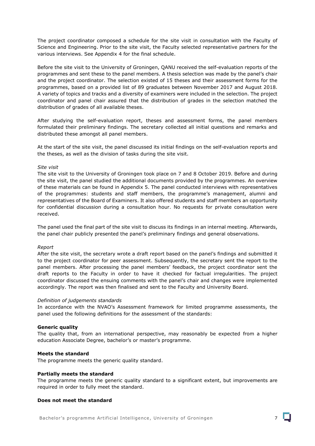The project coordinator composed a schedule for the site visit in consultation with the Faculty of Science and Engineering. Prior to the site visit, the Faculty selected representative partners for the various interviews. See Appendix 4 for the final schedule.

Before the site visit to the University of Groningen, QANU received the self-evaluation reports of the programmes and sent these to the panel members. A thesis selection was made by the panel's chair and the project coordinator. The selection existed of 15 theses and their assessment forms for the programmes, based on a provided list of 89 graduates between November 2017 and August 2018. A variety of topics and tracks and a diversity of examiners were included in the selection. The project coordinator and panel chair assured that the distribution of grades in the selection matched the distribution of grades of all available theses.

After studying the self-evaluation report, theses and assessment forms, the panel members formulated their preliminary findings. The secretary collected all initial questions and remarks and distributed these amongst all panel members.

At the start of the site visit, the panel discussed its initial findings on the self-evaluation reports and the theses, as well as the division of tasks during the site visit.

#### *Site visit*

The site visit to the University of Groningen took place on 7 and 8 October 2019. Before and during the site visit, the panel studied the additional documents provided by the programmes. An overview of these materials can be found in Appendix 5. The panel conducted interviews with representatives of the programmes: students and staff members, the programme's management, alumni and representatives of the Board of Examiners. It also offered students and staff members an opportunity for confidential discussion during a consultation hour. No requests for private consultation were received.

The panel used the final part of the site visit to discuss its findings in an internal meeting. Afterwards, the panel chair publicly presented the panel's preliminary findings and general observations.

#### *Report*

After the site visit, the secretary wrote a draft report based on the panel's findings and submitted it to the project coordinator for peer assessment. Subsequently, the secretary sent the report to the panel members. After processing the panel members' feedback, the project coordinator sent the draft reports to the Faculty in order to have it checked for factual irregularities. The project coordinator discussed the ensuing comments with the panel's chair and changes were implemented accordingly. The report was then finalised and sent to the Faculty and University Board.

#### *Definition of judgements standards*

In accordance with the NVAO's Assessment framework for limited programme assessments, the panel used the following definitions for the assessment of the standards:

#### **Generic quality**

The quality that, from an international perspective, may reasonably be expected from a higher education Associate Degree, bachelor's or master's programme.

#### **Meets the standard**

The programme meets the generic quality standard.

#### **Partially meets the standard**

The programme meets the generic quality standard to a significant extent, but improvements are required in order to fully meet the standard.

### **Does not meet the standard**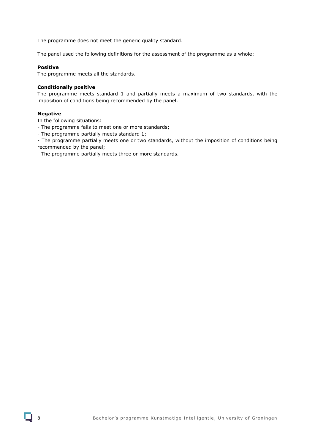The programme does not meet the generic quality standard.

The panel used the following definitions for the assessment of the programme as a whole:

# **Positive**

The programme meets all the standards.

### **Conditionally positive**

The programme meets standard 1 and partially meets a maximum of two standards, with the imposition of conditions being recommended by the panel.

# **Negative**

In the following situations:

- The programme fails to meet one or more standards;

- The programme partially meets standard 1;

- The programme partially meets one or two standards, without the imposition of conditions being recommended by the panel;

- The programme partially meets three or more standards.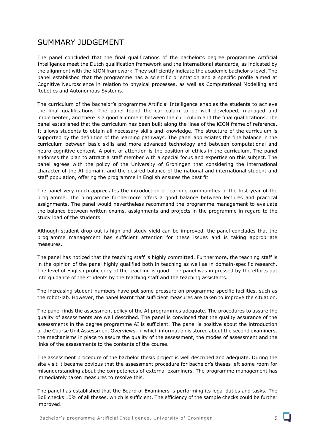# <span id="page-8-0"></span>SUMMARY JUDGEMENT

The panel concluded that the final qualifications of the bachelor's degree programme Artificial Intelligence meet the Dutch qualification framework and the international standards, as indicated by the alignment with the KION framework. They sufficiently indicate the academic bachelor's level. The panel established that the programme has a scientific orientation and a specific profile aimed at Cognitive Neuroscience in relation to physical processes, as well as Computational Modelling and Robotics and Autonomous Systems.

The curriculum of the bachelor's programme Artificial Intelligence enables the students to achieve the final qualifications. The panel found the curriculum to be well developed, managed and implemented, and there is a good alignment between the curriculum and the final qualifications. The panel established that the curriculum has been built along the lines of the KION frame of reference. It allows students to obtain all necessary skills and knowledge. The structure of the curriculum is supported by the definition of the learning pathways. The panel appreciates the fine balance in the curriculum between basic skills and more advanced technology and between computational and neuro-cognitive content. A point of attention is the position of ethics in the curriculum. The panel endorses the plan to attract a staff member with a special focus and expertise on this subject. The panel agrees with the policy of the University of Groningen that considering the international character of the AI domain, and the desired balance of the national and international student and staff population, offering the programme in English ensures the best fit.

The panel very much appreciates the introduction of learning communities in the first year of the programme. The programme furthermore offers a good balance between lectures and practical assignments. The panel would nevertheless recommend the programme management to evaluate the balance between written exams, assignments and projects in the programme in regard to the study load of the students.

Although student drop-out is high and study yield can be improved, the panel concludes that the programme management has sufficient attention for these issues and is taking appropriate measures.

The panel has noticed that the teaching staff is highly committed. Furthermore, the teaching staff is in the opinion of the panel highly qualified both in teaching as well as in domain-specific research. The level of English proficiency of the teaching is good. The panel was impressed by the efforts put into guidance of the students by the teaching staff and the teaching assistants.

The increasing student numbers have put some pressure on programme-specific facilities, such as the robot-lab. However, the panel learnt that sufficient measures are taken to improve the situation.

The panel finds the assessment policy of the AI programmes adequate. The procedures to assure the quality of assessments are well described. The panel is convinced that the quality assurance of the assessments in the degree programme AI is sufficient. The panel is positive about the introduction of the Course Unit Assessment Overviews, in which information is stored about the second examiners, the mechanisms in place to assure the quality of the assessment, the modes of assessment and the links of the assessments to the contents of the course.

The assessment procedure of the bachelor thesis project is well described and adequate. During the site visit it became obvious that the assessment procedure for bachelor's theses left some room for misunderstanding about the competences of external examiners. The programme management has immediately taken measures to resolve this.

The panel has established that the Board of Examiners is performing its legal duties and tasks. The BoE checks 10% of all theses, which is sufficient. The efficiency of the sample checks could be further improved.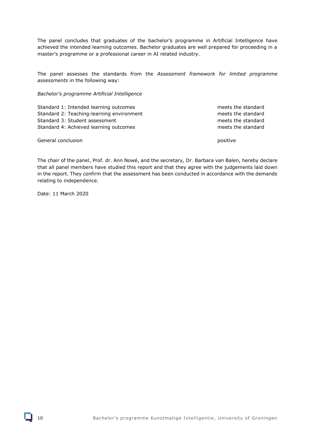The panel concludes that graduates of the bachelor's programme in Artificial Intelligence have achieved the intended learning outcomes. Bachelor graduates are well prepared for proceeding in a master's programme or a professional career in AI related industry.

The panel assesses the standards from the *Assessment framework for limited programme assessments* in the following way:

*Bachelor's programme Artificial Intelligence*

| Standard 1: Intended learning outcomes    | meets the standard |
|-------------------------------------------|--------------------|
| Standard 2: Teaching-learning environment | meets the standard |
| Standard 3: Student assessment            | meets the standard |
| Standard 4: Achieved learning outcomes    | meets the standard |
|                                           |                    |

General conclusion **positive** conclusion **positive** conclusion **positive** conclusion

The chair of the panel, Prof. dr. Ann Nowé, and the secretary, Dr. Barbara van Balen, hereby declare that all panel members have studied this report and that they agree with the judgements laid down in the report. They confirm that the assessment has been conducted in accordance with the demands relating to independence.

Date: 11 March 2020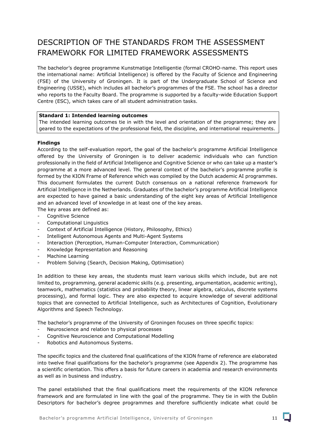# <span id="page-10-0"></span>DESCRIPTION OF THE STANDARDS FROM THE ASSESSMENT FRAMEWORK FOR LIMITED FRAMEWORK ASSESSMENTS

The bachelor's degree programme Kunstmatige Intelligentie (formal CROHO-name. This report uses the international name: Artificial Intelligence) is offered by the Faculty of Science and Engineering (FSE) of the University of Groningen. It is part of the Undergraduate School of Science and Engineering (USSE), which includes all bachelor's programmes of the FSE. The school has a director who reports to the Faculty Board. The programme is supported by a faculty-wide Education Support Centre (ESC), which takes care of all student administration tasks.

# **Standard 1: Intended learning outcomes**

The intended learning outcomes tie in with the level and orientation of the programme; they are geared to the expectations of the professional field, the discipline, and international requirements.

# **Findings**

According to the self-evaluation report, the goal of the bachelor's programme Artificial Intelligence offered by the University of Groningen is to deliver academic individuals who can function professionally in the field of Artificial Intelligence and Cognitive Science or who can take up a master's programme at a more advanced level. The general context of the bachelor's programme profile is formed by the KION Frame of Reference which was compiled by the Dutch academic AI programmes. This document formulates the current Dutch consensus on a national reference framework for Artificial Intelligence in the Netherlands. Graduates of the bachelor's programme Artificial Intelligence are expected to have gained a basic understanding of the eight key areas of Artificial Intelligence and an advanced level of knowledge in at least one of the key areas.

The key areas are defined as:

- Cognitive Science
- Computational Linguistics
- Context of Artificial Intelligence (History, Philosophy, Ethics)
- Intelligent Autonomous Agents and Multi-Agent Systems
- Interaction (Perception, Human-Computer Interaction, Communication)
- Knowledge Representation and Reasoning
- Machine Learning
- Problem Solving (Search, Decision Making, Optimisation)

In addition to these key areas, the students must learn various skills which include, but are not limited to, programming, general academic skills (e.g. presenting, argumentation, academic writing), teamwork, mathematics (statistics and probability theory, linear algebra, calculus, discrete systems processing), and formal logic. They are also expected to acquire knowledge of several additional topics that are connected to Artificial Intelligence, such as Architectures of Cognition, Evolutionary Algorithms and Speech Technology.

The bachelor's programme of the University of Groningen focuses on three specific topics:

- Neuroscience and relation to physical processes
- Cognitive Neuroscience and Computational Modelling
- Robotics and Autonomous Systems.

The specific topics and the clustered final qualifications of the KION frame of reference are elaborated into twelve final qualifications for the bachelor's programme (see Appendix 2). The programme has a scientific orientation. This offers a basis for future careers in academia and research environments as well as in business and industry.

The panel established that the final qualifications meet the requirements of the KION reference framework and are formulated in line with the goal of the programme. They tie in with the Dublin Descriptors for bachelor's degree programmes and therefore sufficiently indicate what could be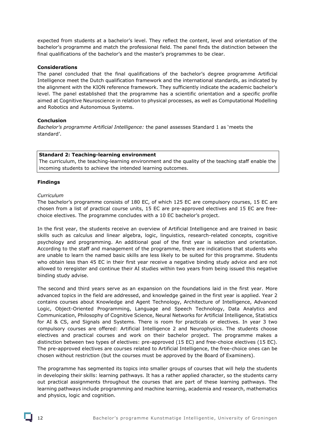expected from students at a bachelor's level. They reflect the content, level and orientation of the bachelor's programme and match the professional field. The panel finds the distinction between the final qualifications of the bachelor's and the master's programmes to be clear.

#### **Considerations**

The panel concluded that the final qualifications of the bachelor's degree programme Artificial Intelligence meet the Dutch qualification framework and the international standards, as indicated by the alignment with the KION reference framework. They sufficiently indicate the academic bachelor's level. The panel established that the programme has a scientific orientation and a specific profile aimed at Cognitive Neuroscience in relation to physical processes, as well as Computational Modelling and Robotics and Autonomous Systems.

#### **Conclusion**

*Bachelor's programme Artificial Intelligence:* the panel assesses Standard 1 as 'meets the standard'.

### **Standard 2: Teaching-learning environment**

The curriculum, the teaching-learning environment and the quality of the teaching staff enable the incoming students to achieve the intended learning outcomes.

#### **Findings**

#### *Curriculum*

The bachelor's programme consists of 180 EC, of which 125 EC are compulsory courses, 15 EC are chosen from a list of practical course units, 15 EC are pre-approved electives and 15 EC are freechoice electives. The programme concludes with a 10 EC bachelor's project.

In the first year, the students receive an overview of Artificial Intelligence and are trained in basic skills such as calculus and linear algebra, logic, linguistics, research-related concepts, cognitive psychology and programming. An additional goal of the first year is selection and orientation. According to the staff and management of the programme, there are indications that students who are unable to learn the named basic skills are less likely to be suited for this programme. Students who obtain less than 45 EC in their first year receive a negative binding study advice and are not allowed to reregister and continue their AI studies within two years from being issued this negative binding study advise.

The second and third years serve as an expansion on the foundations laid in the first year. More advanced topics in the field are addressed, and knowledge gained in the first year is applied. Year 2 contains courses about Knowledge and Agent Technology, Architecture of Intelligence, Advanced Logic, Object-Oriented Programming, Language and Speech Technology, Data Analytics and Communication, Philosophy of Cognitive Science, Neural Networks for Artificial Intelligence, Statistics for AI & CS, and Signals and Systems. There is room for practicals or electives. In year 3 two compulsory courses are offered: Artificial Intelligence 2 and Neurophysics. The students choose electives and practical courses and work on their bachelor project. The programme makes a distinction between two types of electives: pre-approved (15 EC) and free-choice electives (15 EC). The pre-approved electives are courses related to Artificial Intelligence, the free-choice ones can be chosen without restriction (but the courses must be approved by the Board of Examiners).

The programme has segmented its topics into smaller groups of courses that will help the students in developing their skills: learning pathways. It has a rather applied character, so the students carry out practical assignments throughout the courses that are part of these learning pathways. The learning pathways include programming and machine learning, academia and research, mathematics and physics, logic and cognition.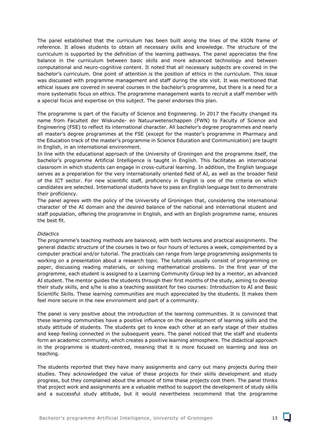The panel established that the curriculum has been built along the lines of the KION frame of reference. It allows students to obtain all necessary skills and knowledge. The structure of the curriculum is supported by the definition of the learning pathways. The panel appreciates the fine balance in the curriculum between basic skills and more advanced technology and between computational and neuro-cognitive content. It noted that all necessary subjects are covered in the bachelor's curriculum. One point of attention is the position of ethics in the curriculum. This issue was discussed with programme management and staff during the site visit. It was mentioned that ethical issues are covered in several courses in the bachelor's programme, but there is a need for a more systematic focus on ethics. The programme management wants to recruit a staff member with a special focus and expertise on this subject. The panel endorses this plan.

The programme is part of the Faculty of Science and Engineering. In 2017 the Faculty changed its name from Faculteit der Wiskunde- en Natuurwetenschappen (FWN) to Faculty of Science and Engineering (FSE) to reflect its international character. All bachelor's degree programmes and nearly all master's degree programmes at the FSE (except for the master's programme in Pharmacy and the Education track of the master's programme in Science Education and Communication) are taught in English, in an international environment.

In line with the educational approach of the University of Groningen and the programme itself, the bachelor's programme Artificial Intelligence is taught in English. This facilitates an international classroom in which students can engage in cross-cultural learning. In addition, the English language serves as a preparation for the very internationally oriented field of AI, as well as the broader field of the ICT sector. For new scientific staff, proficiency in English is one of the criteria on which candidates are selected. International students have to pass an English language test to demonstrate their proficiency.

The panel agrees with the policy of the University of Groningen that, considering the international character of the AI domain and the desired balance of the national and international student and staff population, offering the programme in English, and with an English programme name, ensures the best fit.

#### *Didactics*

The programme's teaching methods are balanced, with both lectures and practical assignments. The general didactic structure of the courses is two or four hours of lectures a week, complemented by a computer practical and/or tutorial. The practicals can range from large programming assignments to working on a presentation about a research topic. The tutorials usually consist of programming on paper, discussing reading materials, or solving mathematical problems. In the first year of the programme, each student is assigned to a Learning Community Group led by a mentor, an advanced AI student. The mentor guides the students through their first months of the study, aiming to develop their study skills, and s/he is also a teaching assistant for two courses: Introduction to AI and Basic Scientific Skills. These learning communities are much appreciated by the students. It makes them feel more secure in the new environment and part of a community.

The panel is very positive about the introduction of the learning communities. It is convinced that these learning communities have a positive influence on the development of learning skills and the study attitude of students. The students get to know each other at an early stage of their studies and keep feeling connected in the subsequent years. The panel noticed that the staff and students form an academic community, which creates a positive learning atmosphere. The didactical approach in the programme is student-centred, meaning that it is more focused on learning and less on teaching.

The students reported that they have many assignments and carry out many projects during their studies. They acknowledged the value of these projects for their skills development and study progress, but they complained about the amount of time these projects cost them. The panel thinks that project work and assignments are a valuable method to support the development of study skills and a successful study attitude, but it would nevertheless recommend that the programme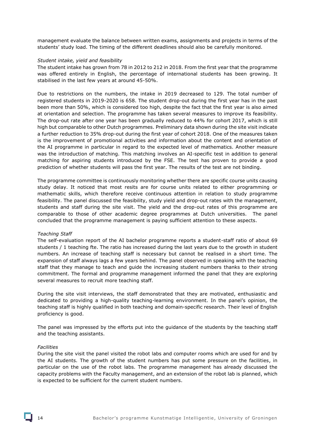management evaluate the balance between written exams, assignments and projects in terms of the students' study load. The timing of the different deadlines should also be carefully monitored.

#### *Student intake, yield and feasibility*

The student intake has grown from 78 in 2012 to 212 in 2018. From the first year that the programme was offered entirely in English, the percentage of international students has been growing. It stabilised in the last few years at around 45-50%.

Due to restrictions on the numbers, the intake in 2019 decreased to 129. The total number of registered students in 2019-2020 is 658. The student drop-out during the first year has in the past been more than 50%, which is considered too high, despite the fact that the first year is also aimed at orientation and selection. The programme has taken several measures to improve its feasibility. The drop-out rate after one year has been gradually reduced to 44% for cohort 2017, which is still high but comparable to other Dutch programmes. Preliminary data shown during the site visit indicate a further reduction to 35% drop-out during the first year of cohort 2018. One of the measures taken is the improvement of promotional activities and information about the content and orientation of the AI programme in particular in regard to the expected level of mathematics. Another measure was the introduction of matching. This matching involves an AI-specific test in addition to general matching for aspiring students introduced by the FSE. The test has proven to provide a good prediction of whether students will pass the first year. The results of the test are not binding.

The programme committee is continuously monitoring whether there are specific course units causing study delay. It noticed that most resits are for course units related to either programming or mathematic skills, which therefore receive continuous attention in relation to study programme feasibility. The panel discussed the feasibility, study yield and drop-out rates with the management, students and staff during the site visit. The yield and the drop-out rates of this programme are comparable to those of other academic degree programmes at Dutch universities. The panel concluded that the programme management is paying sufficient attention to these aspects.

#### *Teaching Staff*

The self-evaluation report of the AI bachelor programme reports a student-staff ratio of about 69 students / 1 teaching fte. The ratio has increased during the last years due to the growth in student numbers. An increase of teaching staff is necessary but cannot be realised in a short time. The expansion of staff always lags a few years behind. The panel observed in speaking with the teaching staff that they manage to teach and guide the increasing student numbers thanks to their strong commitment. The formal and programme management informed the panel that they are exploring several measures to recruit more teaching staff.

During the site visit interviews, the staff demonstrated that they are motivated, enthusiastic and dedicated to providing a high-quality teaching-learning environment. In the panel's opinion, the teaching staff is highly qualified in both teaching and domain-specific research. Their level of English proficiency is good.

The panel was impressed by the efforts put into the guidance of the students by the teaching staff and the teaching assistants.

#### *Facilities*

During the site visit the panel visited the robot labs and computer rooms which are used for and by the AI students. The growth of the student numbers has put some pressure on the facilities, in particular on the use of the robot labs. The programme management has already discussed the capacity problems with the Faculty management, and an extension of the robot lab is planned, which is expected to be sufficient for the current student numbers.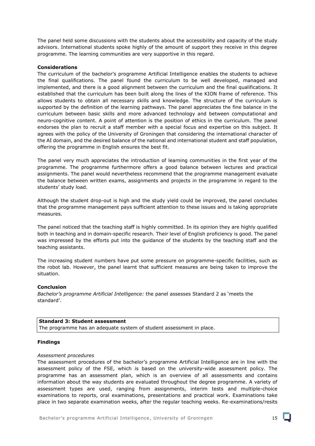The panel held some discussions with the students about the accessibility and capacity of the study advisors. International students spoke highly of the amount of support they receive in this degree programme. The learning communities are very supportive in this regard.

#### **Considerations**

The curriculum of the bachelor's programme Artificial Intelligence enables the students to achieve the final qualifications. The panel found the curriculum to be well developed, managed and implemented, and there is a good alignment between the curriculum and the final qualifications. It established that the curriculum has been built along the lines of the KION frame of reference. This allows students to obtain all necessary skills and knowledge. The structure of the curriculum is supported by the definition of the learning pathways. The panel appreciates the fine balance in the curriculum between basic skills and more advanced technology and between computational and neuro-cognitive content. A point of attention is the position of ethics in the curriculum. The panel endorses the plan to recruit a staff member with a special focus and expertise on this subject. It agrees with the policy of the University of Groningen that considering the international character of the AI domain, and the desired balance of the national and international student and staff population, offering the programme in English ensures the best fit.

The panel very much appreciates the introduction of learning communities in the first year of the programme. The programme furthermore offers a good balance between lectures and practical assignments. The panel would nevertheless recommend that the programme management evaluate the balance between written exams, assignments and projects in the programme in regard to the students' study load.

Although the student drop-out is high and the study yield could be improved, the panel concludes that the programme management pays sufficient attention to these issues and is taking appropriate measures.

The panel noticed that the teaching staff is highly committed. In its opinion they are highly qualified both in teaching and in domain-specific research. Their level of English proficiency is good. The panel was impressed by the efforts put into the guidance of the students by the teaching staff and the teaching assistants.

The increasing student numbers have put some pressure on programme-specific facilities, such as the robot lab. However, the panel learnt that sufficient measures are being taken to improve the situation.

### **Conclusion**

*Bachelor's programme Artificial Intelligence:* the panel assesses Standard 2 as 'meets the standard'.

#### **Standard 3: Student assessment**

The programme has an adequate system of student assessment in place.

#### **Findings**

#### *Assessment procedures*

The assessment procedures of the bachelor's programme Artificial Intelligence are in line with the assessment policy of the FSE, which is based on the university-wide assessment policy. The programme has an assessment plan, which is an overview of all assessments and contains information about the way students are evaluated throughout the degree programme. A variety of assessment types are used, ranging from assignments, interim tests and multiple-choice examinations to reports, oral examinations, presentations and practical work. Examinations take place in two separate examination weeks, after the regular teaching weeks. Re-examinations/resits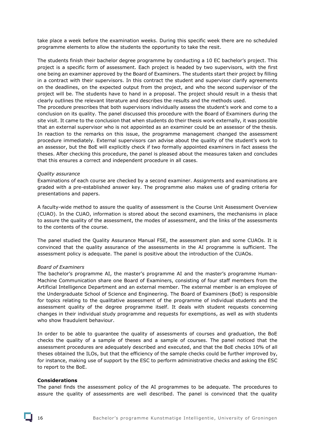take place a week before the examination weeks. During this specific week there are no scheduled programme elements to allow the students the opportunity to take the resit.

The students finish their bachelor degree programme by conducting a 10 EC bachelor's project. This project is a specific form of assessment. Each project is headed by two supervisors, with the first one being an examiner approved by the Board of Examiners. The students start their project by filling in a contract with their supervisors. In this contract the student and supervisor clarify agreements on the deadlines, on the expected output from the project, and who the second supervisor of the project will be. The students have to hand in a proposal. The project should result in a thesis that clearly outlines the relevant literature and describes the results and the methods used.

The procedure prescribes that both supervisors individually assess the student's work and come to a conclusion on its quality. The panel discussed this procedure with the Board of Examiners during the site visit. It came to the conclusion that when students do their thesis work externally, it was possible that an external supervisor who is not appointed as an examiner could be an assessor of the thesis. In reaction to the remarks on this issue, the programme management changed the assessment procedure immediately. External supervisors can advise about the quality of the student's work to an assessor, but the BoE will explicitly check if two formally appointed examiners in fact assess the theses. After checking this procedure, the panel is pleased about the measures taken and concludes that this ensures a correct and independent procedure in all cases.

#### *Quality assurance*

Examinations of each course are checked by a second examiner. Assignments and examinations are graded with a pre-established answer key. The programme also makes use of grading criteria for presentations and papers.

A faculty-wide method to assure the quality of assessment is the Course Unit Assessment Overview (CUAO). In the CUAO, information is stored about the second examiners, the mechanisms in place to assure the quality of the assessment, the modes of assessment, and the links of the assessments to the contents of the course.

The panel studied the Quality Assurance Manual FSE, the assessment plan and some CUAOs. It is convinced that the quality assurance of the assessments in the AI programme is sufficient. The assessment policy is adequate. The panel is positive about the introduction of the CUAOs.

#### *Board of Examiners*

The bachelor's programme AI, the master's programme AI and the master's programme Human-Machine Communication share one Board of Examiners, consisting of four staff members from the Artificial Intelligence Department and an external member. The external member is an employee of the Undergraduate School of Science and Engineering. The Board of Examiners (BoE) is responsible for topics relating to the qualitative assessment of the programme of individual students and the assessment quality of the degree programme itself. It deals with student requests concerning changes in their individual study programme and requests for exemptions, as well as with students who show fraudulent behaviour.

In order to be able to guarantee the quality of assessments of courses and graduation, the BoE checks the quality of a sample of theses and a sample of courses. The panel noticed that the assessment procedures are adequately described and executed, and that the BoE checks 10% of all theses obtained the ILOs, but that the efficiency of the sample checks could be further improved by, for instance, making use of support by the ESC to perform administrative checks and asking the ESC to report to the BoE.

#### **Considerations**

The panel finds the assessment policy of the AI programmes to be adequate. The procedures to assure the quality of assessments are well described. The panel is convinced that the quality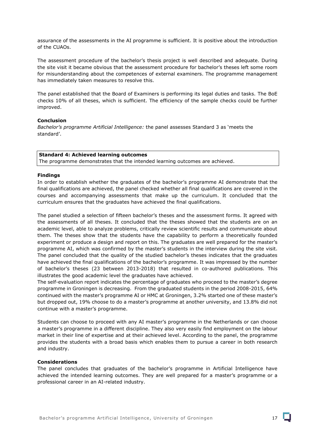assurance of the assessments in the AI programme is sufficient. It is positive about the introduction of the CUAOs.

The assessment procedure of the bachelor's thesis project is well described and adequate. During the site visit it became obvious that the assessment procedure for bachelor's theses left some room for misunderstanding about the competences of external examiners. The programme management has immediately taken measures to resolve this.

The panel established that the Board of Examiners is performing its legal duties and tasks. The BoE checks 10% of all theses, which is sufficient. The efficiency of the sample checks could be further improved.

#### **Conclusion**

*Bachelor's programme Artificial Intelligence:* the panel assesses Standard 3 as 'meets the standard'.

### **Standard 4: Achieved learning outcomes**

The programme demonstrates that the intended learning outcomes are achieved.

#### **Findings**

In order to establish whether the graduates of the bachelor's programme AI demonstrate that the final qualifications are achieved, the panel checked whether all final qualifications are covered in the courses and accompanying assessments that make up the curriculum. It concluded that the curriculum ensures that the graduates have achieved the final qualifications.

The panel studied a selection of fifteen bachelor's theses and the assessment forms. It agreed with the assessments of all theses. It concluded that the theses showed that the students are on an academic level, able to analyze problems, critically review scientific results and communicate about them. The theses show that the students have the capability to perform a theoretically founded experiment or produce a design and report on this. The graduates are well prepared for the master's programme AI, which was confirmed by the master's students in the interview during the site visit. The panel concluded that the quality of the studied bachelor's theses indicates that the graduates have achieved the final qualifications of the bachelor's programme. It was impressed by the number of bachelor's theses (23 between 2013-2018) that resulted in co-authored publications. This illustrates the good academic level the graduates have achieved.

The self-evaluation report indicates the percentage of graduates who proceed to the master's degree programme in Groningen is decreasing. From the graduated students in the period 2008-2015, 64% continued with the master's programme AI or HMC at Groningen, 3.2% started one of these master's but dropped out, 19% choose to do a master's programme at another university, and 13.8% did not continue with a master's programme.

Students can choose to proceed with any AI master's programme in the Netherlands or can choose a master's programme in a different discipline. They also very easily find employment on the labour market in their line of expertise and at their achieved level. According to the panel, the programme provides the students with a broad basis which enables them to pursue a career in both research and industry.

# **Considerations**

The panel concludes that graduates of the bachelor's programme in Artificial Intelligence have achieved the intended learning outcomes. They are well prepared for a master's programme or a professional career in an AI-related industry.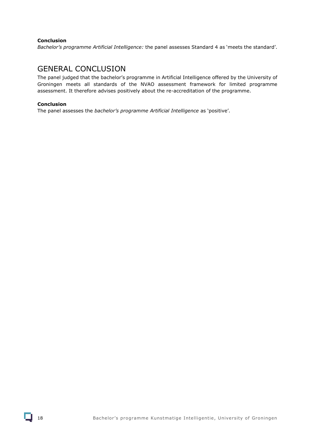# **Conclusion**

*Bachelor's programme Artificial Intelligence:* the panel assesses Standard 4 as 'meets the standard'.

# GENERAL CONCLUSION

The panel judged that the bachelor's programme in Artificial Intelligence offered by the University of Groningen meets all standards of the NVAO assessment framework for limited programme assessment. It therefore advises positively about the re-accreditation of the programme.

# **Conclusion**

The panel assesses the *bachelor's programme Artificial Intelligence* as 'positive'.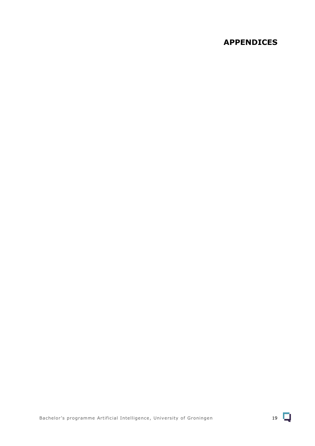# <span id="page-18-0"></span>**APPENDICES**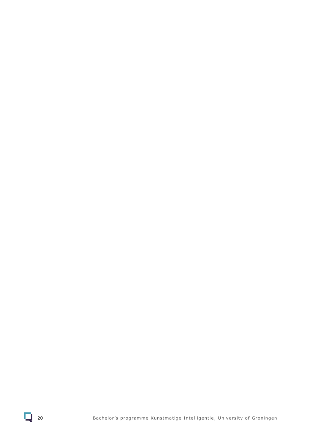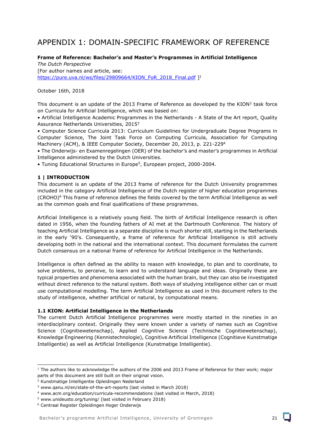# <span id="page-20-0"></span>APPENDIX 1: DOMAIN-SPECIFIC FRAMEWORK OF REFERENCE

# **Frame of Reference: Bachelor's and Master's Programmes in Artificial Intelligence** *The Dutch Perspective* [For author names and article, see: [https://pure.uva.nl/ws/files/29809664/KION\\_FoR\\_2018\\_Final.pdf](https://pure.uva.nl/ws/files/29809664/KION_FoR_2018_Final.pdf) ]<sup>1</sup>

October 16th, 2018

This document is an update of the 2013 Frame of Reference as developed by the KION<sup>2</sup> task force on Curricula for Artificial Intelligence, which was based on:

• Artificial Intelligence Academic Programmes in the Netherlands - A State of the Art report, Quality Assurance Netherlands Universities, 2015<sup>3</sup>

• Computer Science Curricula 2013: Curriculum Guidelines for Undergraduate Degree Programs in Computer Science, The Joint Task Force on Computing Curricula, Association for Computing Machinery (ACM), & IEEE Computer Society, December 20, 2013, p. 221-229<sup>4</sup>

• The Onderwijs- en Examenregelingen (OER) of the bachelor's and master's programmes in Artificial Intelligence administered by the Dutch Universities.

• Tuning Educational Structures in Europe<sup>5</sup> , European project, 2000-2004.

# **1 | INTRODUCTION**

This document is an update of the 2013 frame of reference for the Dutch University programmes included in the category Artificial Intelligence of the Dutch register of higher education programmes  $(CROHO)^6$  This frame of reference defines the fields covered by the term Artificial Intelligence as well as the common goals and final qualifications of these programmes.

Artificial Intelligence is a relatively young field. The birth of Artificial Intelligence research is often dated in 1956, when the founding fathers of AI met at the Dartmouth Conference. The history of teaching Artificial Intelligence as a separate discipline is much shorter still, starting in the Netherlands in the early '90's. Consequently, a frame of reference for Artificial Intelligence is still actively developing both in the national and the international context. This document formulates the current Dutch consensus on a national frame of reference for Artificial Intelligence in the Netherlands.

Intelligence is often defined as the ability to reason with knowledge, to plan and to coordinate, to solve problems, to perceive, to learn and to understand language and ideas. Originally these are typical properties and phenomena associated with the human brain, but they can also be investigated without direct reference to the natural system. Both ways of studying intelligence either can or must use computational modelling. The term Artificial Intelligence as used in this document refers to the study of intelligence, whether artificial or natural, by computational means.

### **1.1 KION: Artificial Intelligence in the Netherlands**

The current Dutch Artificial Intelligence programmes were mostly started in the nineties in an interdisciplinary context. Originally they were known under a variety of names such as Cognitive Science (Cognitiewetenschap), Applied Cognitive Science (Technische Cognitiewetenschap), Knowledge Engineering (Kennistechnologie), Cognitive Artificial Intelligence (Cognitieve Kunstmatige Intelligentie) as well as Artificial Intelligence (Kunstmatige Intelligentie).

-

<sup>&</sup>lt;sup>1</sup> The authors like to acknowledge the authors of the 2006 and 2013 Frame of Reference for their work; major parts of this document are still built on their original vision.

<sup>2</sup> Kunstmatige Intelligentie Opleidingen Nederland

<sup>3</sup> www.qanu.nl/en/state-of-the-art-reports (last visited in March 2018)

<sup>4</sup> www.acm.org/education/curricula-recommendations (last visited in March, 2018)

<sup>5</sup> www.unideusto.org/tuning/ (last visited in February 2018)

<sup>6</sup> Centraal Register Opleidingen Hoger Onderwijs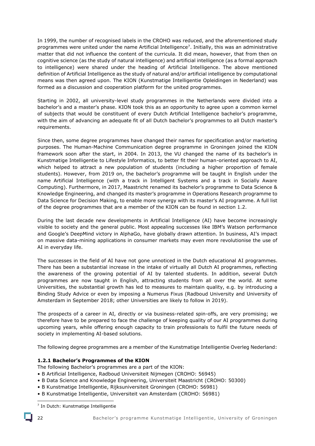In 1999, the number of recognised labels in the CROHO was reduced, and the aforementioned study programmes were united under the name Artificial Intelligence<sup>7</sup> . Initially, this was an administrative matter that did not influence the content of the curricula. It did mean, however, that from then on cognitive science (as the study of natural intelligence) and artificial intelligence (as a formal approach to intelligence) were shared under the heading of Artificial Intelligence. The above mentioned definition of Artificial Intelligence as the study of natural and/or artificial intelligence by computational means was then agreed upon. The KION (Kunstmatige Intelligentie Opleidingen in Nederland) was formed as a discussion and cooperation platform for the united programmes.

Starting in 2002, all university-level study programmes in the Netherlands were divided into a bachelor's and a master's phase. KION took this as an opportunity to agree upon a common kernel of subjects that would be constituent of every Dutch Artificial Intelligence bachelor's programme, with the aim of advancing an adequate fit of all Dutch bachelor's programmes to all Dutch master's requirements.

Since then, some degree programmes have changed their names for specification and/or marketing purposes. The Human-Machine Communication degree programme in Groningen joined the KION framework soon after the start, in 2004. In 2013, the VU changed the name of its bachelor's in Kunstmatige Intelligentie to Lifestyle Informatics, to better fit their human-oriented approach to AI, which helped to attract a new population of students (including a higher proportion of female students). However, from 2019 on, the bachelor's programme will be taught in English under the name Artificial Intelligence (with a track in Intelligent Systems and a track in Socially Aware Computing). Furthermore, in 2017, Maastricht renamed its bachelor's programme to Data Science & Knowledge Engineering, and changed its master's programme in Operations Research programme to Data Science for Decision Making, to enable more synergy with its master's AI programme. A full list of the degree programmes that are a member of the KION can be found in section 1.2.

During the last decade new developments in Artificial Intelligence (AI) have become increasingly visible to society and the general public. Most appealing successes like IBM's Watson performance and Google's DeepMind victory in AlphaGo, have globally drawn attention. In business, AI's impact on massive data-mining applications in consumer markets may even more revolutionise the use of AI in everyday life.

The successes in the field of AI have not gone unnoticed in the Dutch educational AI programmes. There has been a substantial increase in the intake of virtually all Dutch AI programmes, reflecting the awareness of the growing potential of AI by talented students. In addition, several Dutch programmes are now taught in English, attracting students from all over the world. At some Universities, the substantial growth has led to measures to maintain quality, e.g. by introducing a Binding Study Advice or even by imposing a Numerus Fixus (Radboud University and University of Amsterdam in September 2018; other Universities are likely to follow in 2019).

The prospects of a career in AI, directly or via business-related spin-offs, are very promising; we therefore have to be prepared to face the challenge of keeping quality of our AI programmes during upcoming years, while offering enough capacity to train professionals to fulfil the future needs of society in implementing AI-based solutions.

The following degree programmes are a member of the Kunstmatige Intelligentie Overleg Nederland:

# **1.2.1 Bachelor's Programmes of the KION**

The following Bachelor's programmes are a part of the KION:

- B Artificial Intelligence, Radboud Universiteit Nijmegen (CROHO: 56945)
- B Data Science and Knowledge Engineering, Universiteit Maastricht (CROHO: 50300)
- B Kunstmatige Intelligentie, Rijksuniversiteit Groningen (CROHO: 56981)
- B Kunstmatige Intelligentie, Universiteit van Amsterdam (CROHO: 56981)

<sup>-</sup><sup>7</sup> In Dutch: Kunstmatige Intelligentie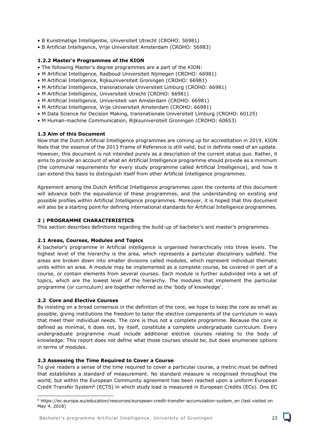- B Kunstmatige Intelligentie, Universiteit Utrecht (CROHO: 56981)
- B Artificial Intelligence, Vrije Universiteit Amsterdam (CROHO: 56983)

# **1.2.2 Master's Programmes of the KION**

- The following Master's degree programmes are a part of the KION:
- M Artificial Intelligence, Radboud Universiteit Nijmegen (CROHO: 66981)
- M Artificial Intelligence, Rijksuniversiteit Groningen (CROHO: 66981)
- M Artificial Intelligence, transnationale Universiteit Limburg (CROHO: 66981)
- M Artificial Intelligence, Universiteit Utrecht (CROHO: 66981)
- M Artificial Intelligence, Universiteit van Amsterdam (CROHO: 66981)
- M Artificial Intelligence, Vrije Universiteit Amsterdam (CROHO: 66981)
- M Data Science for Decision Making, transnationale Universiteit Limburg (CROHO: 60125)
- M Human-machine Communication, Rijksuniversiteit Groningen (CROHO: 60653)

# **1.3 Aim of this Document**

Now that the Dutch Artificial Intelligence programmes are coming up for accreditation in 2019, KION feels that the essence of the 2013 Frame of Reference is still valid, but in definite need of an update. However, this document is not intended purely as a description of the current status quo. Rather, it aims to provide an account of what an Artificial Intelligence programme should provide as a minimum (the communal requirements for every study programme called Artificial Intelligence), and how it can extend this basis to distinguish itself from other Artificial Intelligence programmes.

Agreement among the Dutch Artificial Intelligence programmes upon the contents of this document will advance both the equivalence of these programmes, and the understanding on existing and possible profiles within Artificial Intelligence programmes. Moreover, it is hoped that this document will also be a starting point for defining international standards for Artificial Intelligence programmes.

# **2 | PROGRAMME CHARACTERISTICS**

This section describes definitions regarding the build-up of bachelor's and master's programmes.

#### **2.1 Areas, Courses, Modules and Topics**

A bachelor's programme in Artificial intelligence is organised hierarchically into three levels. The highest level of the hierarchy is the area, which represents a particular disciplinary subfield. The areas are broken down into smaller divisions called modules, which represent individual thematic units within an area. A module may be implemented as a complete course, be covered in part of a course, or contain elements from several courses. Each module is further subdivided into a set of topics, which are the lowest level of the hierarchy. The modules that implement the particular programme (or curriculum) are together referred as the 'body of knowledge'.

# **2.2 Core and Elective Courses**

-

By insisting on a broad consensus in the definition of the core, we hope to keep the core as small as possible, giving institutions the freedom to tailor the elective components of the curriculum in ways that meet their individual needs. The core is thus not a complete programme. Because the core is defined as minimal, it does not, by itself, constitute a complete undergraduate curriculum. Every undergraduate programme must include additional elective courses relating to the body of knowledge. This report does not define what those courses should be, but does enumerate options in terms of modules.

# **2.3 Assessing the Time Required to Cover a Course**

To give readers a sense of the time required to cover a particular course, a metric must be defined that establishes a standard of measurement. No standard measure is recognised throughout the world, but within the European Community agreement has been reached upon a uniform European Credit Transfer System<sup>8</sup> (ECTS) in which study load is measured in European Credits (ECs). One EC

<sup>8</sup> https://ec.europa.eu/education/resources/european-credit-transfer-accumulation-system\_en (last visited on May 4, 2018)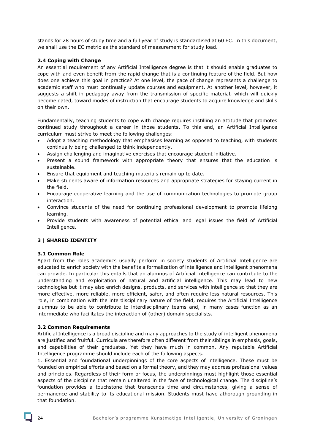stands for 28 hours of study time and a full year of study is standardised at 60 EC. In this document, we shall use the EC metric as the standard of measurement for study load.

# **2.4 Coping with Change**

An essential requirement of any Artificial Intelligence degree is that it should enable graduates to cope with-and even benefit from-the rapid change that is a continuing feature of the field. But how does one achieve this goal in practice? At one level, the pace of change represents a challenge to academic staff who must continually update courses and equipment. At another level, however, it suggests a shift in pedagogy away from the transmission of specific material, which will quickly become dated, toward modes of instruction that encourage students to acquire knowledge and skills on their own.

Fundamentally, teaching students to cope with change requires instilling an attitude that promotes continued study throughout a career in those students. To this end, an Artificial Intelligence curriculum must strive to meet the following challenges:

- Adopt a teaching methodology that emphasises learning as opposed to teaching, with students continually being challenged to think independently.
- Assign challenging and imaginative exercises that encourage student initiative.
- Present a sound framework with appropriate theory that ensures that the education is sustainable.
- Ensure that equipment and teaching materials remain up to date.
- Make students aware of information resources and appropriate strategies for staying current in the field.
- Encourage cooperative learning and the use of communication technologies to promote group interaction.
- Convince students of the need for continuing professional development to promote lifelong learning.
- Provide students with awareness of potential ethical and legal issues the field of Artificial Intelligence.

# **3 | SHARED IDENTITY**

#### **3.1 Common Role**

Apart from the roles academics usually perform in society students of Artificial Intelligence are educated to enrich society with the benefits a formalization of intelligence and intelligent phenomena can provide. In particular this entails that an alumnus of Artificial Intelligence can contribute to the understanding and exploitation of natural and artificial intelligence. This may lead to new technologies but it may also enrich designs, products, and services with intelligence so that they are more effective, more reliable, more efficient, safer, and often require less natural resources. This role, in combination with the interdisciplinary nature of the field, requires the Artificial Intelligence alumnus to be able to contribute to interdisciplinary teams and, in many cases function as an intermediate who facilitates the interaction of (other) domain specialists.

# **3.2 Common Requirements**

Artificial Intelligence is a broad discipline and many approaches to the study of intelligent phenomena are justified and fruitful. Curricula are therefore often different from their siblings in emphasis, goals, and capabilities of their graduates. Yet they have much in common. Any reputable Artificial Intelligence programme should include each of the following aspects.

1. Essential and foundational underpinnings of the core aspects of intelligence. These must be founded on empirical efforts and based on a formal theory, and they may address professional values and principles. Regardless of their form or focus, the underpinnings must highlight those essential aspects of the discipline that remain unaltered in the face of technological change. The discipline's foundation provides a touchstone that transcends time and circumstances, giving a sense of permanence and stability to its educational mission. Students must have athorough grounding in that foundation.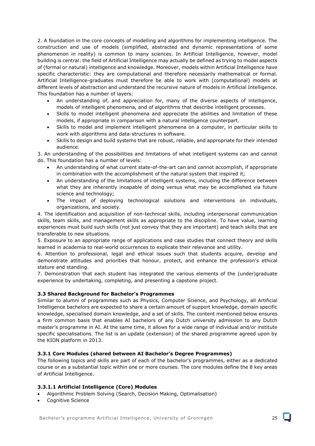2. A foundation in the core concepts of modelling and algorithms for implementing intelligence. The construction and use of models (simplified, abstracted and dynamic representations of some phenomenon in reality) is common to many sciences. In Artificial Intelligence, however, model building is central: the field of Artificial Intelligence may actually be defined as trying to model aspects of (formal or natural) intelligence and knowledge. Moreover, models within Artificial Intelligence have specific characteristic: they are computational and therefore necessarily mathematical or formal. Artificial Intelligence-graduates must therefore be able to work with (computational) models at different levels of abstraction and understand the recursive nature of models in Artificial Intelligence. This foundation has a number of layers:

- An understanding of, and appreciation for, many of the diverse aspects of intelligence, models of intelligent phenomena, and of algorithms that describe intelligent processes.
- Skills to model intelligent phenomena and appreciate the abilities and limitation of these models, if appropriate in comparison with a natural intelligence counterpart.
- Skills to model and implement intelligent phenomena on a computer, in particular skills to work with algorithms and data-structures in software.
- Skills to design and build systems that are robust, reliable, and appropriate for their intended audience.

3. An understanding of the possibilities and limitations of what intelligent systems can and cannot do. This foundation has a number of levels:

- An understanding of what current state-of-the-art can and cannot accomplish, if appropriate in combination with the accomplishment of the natural system that inspired it;
- An understanding of the limitations of intelligent systems, including the difference between what they are inherently incapable of doing versus what may be accomplished via future science and technology;
- The impact of deploying technological solutions and interventions on individuals, organizations, and society.

4. The identification and acquisition of non-technical skills, including interpersonal communication skills, team skills, and management skills as appropriate to the discipline. To have value, learning experiences must build such skills (not just convey that they are important) and teach skills that are transferable to new situations.

5. Exposure to an appropriate range of applications and case studies that connect theory and skills learned in academia to real-world occurrences to explicate their relevance and utility.

6. Attention to professional, legal and ethical issues such that students acquire, develop and demonstrate attitudes and priorities that honour, protect, and enhance the profession's ethical stature and standing.

7. Demonstration that each student has integrated the various elements of the (under)graduate experience by undertaking, completing, and presenting a capstone project.

# **3.3 Shared Background for Bachelor's Programmes**

Similar to alumni of programmes such as Physics, Computer Science, and Psychology, all Artificial Intelligence bachelors are expected to share a certain amount of support knowledge, domain specific knowledge, specialised domain knowledge, and a set of skills. The content mentioned below ensures a firm common basis that enables AI bachelors of any Dutch university admission to any Dutch master's programme in AI. At the same time, it allows for a wide range of individual and/or institute specific specialisations. The list is an update (extension) of the shared programme agreed upon by the KION platform in 2013.

#### **3.3.1 Core Modules (shared between AI Bachelor's Degree Programmes)**

The following topics and skills are part of each of the bachelor's programmes, either as a dedicated course or as a substantial topic within one or more courses. The core modules define the 8 key areas of Artificial Intelligence.

# **3.3.1.1 Artificial Intelligence (Core) Modules**

- Algorithmic Problem Solving (Search, Decision Making, Optimalisation)
- Cognitive Science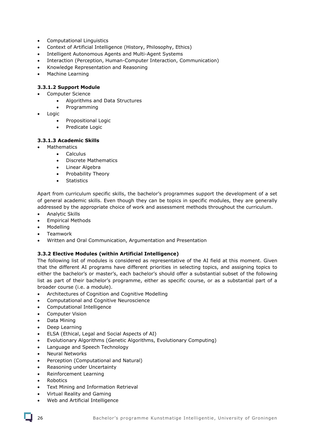- Computational Linguistics
- Context of Artificial Intelligence (History, Philosophy, Ethics)
- Intelligent Autonomous Agents and Multi-Agent Systems
- Interaction (Perception, Human-Computer Interaction, Communication)
- Knowledge Representation and Reasoning
- Machine Learning

# **3.3.1.2 Support Module**

- Computer Science
	- Algorithms and Data Structures
	- Programming
- Logic
	- Propositional Logic
	- Predicate Logic

# **3.3.1.3 Academic Skills**

- Mathematics
	- Calculus
	- Discrete Mathematics
	- Linear Algebra
	- Probability Theory
	- **.** Statistics

Apart from curriculum specific skills, the bachelor's programmes support the development of a set of general academic skills. Even though they can be topics in specific modules, they are generally addressed by the appropriate choice of work and assessment methods throughout the curriculum.

- Analytic Skills
- Empirical Methods
- Modelling
- Teamwork
- Written and Oral Communication, Argumentation and Presentation

# **3.3.2 Elective Modules (within Artificial Intelligence)**

The following list of modules is considered as representative of the AI field at this moment. Given that the different AI programs have different priorities in selecting topics, and assigning topics to either the bachelor's or master's, each bachelor's should offer a substantial subset of the following list as part of their bachelor's programme, either as specific course, or as a substantial part of a broader course (i.e. a module).

- Architectures of Cognition and Cognitive Modelling
- Computational and Cognitive Neuroscience
- Computational Intelligence
- Computer Vision
- Data Mining
- Deep Learning
- ELSA (Ethical, Legal and Social Aspects of AI)
- Evolutionary Algorithms (Genetic Algorithms, Evolutionary Computing)
- Language and Speech Technology
- Neural Networks
- Perception (Computational and Natural)
- Reasoning under Uncertainty
- Reinforcement Learning
- Robotics
- Text Mining and Information Retrieval
- Virtual Reality and Gaming
- Web and Artificial Intelligence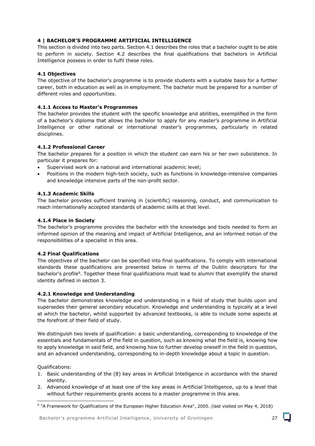# **4 | BACHELOR'S PROGRAMME ARTIFICIAL INTELLIGENCE**

This section is divided into two parts. Section 4.1 describes the roles that a bachelor ought to be able to perform in society. Section 4.2 describes the final qualifications that bachelors in Artificial Intelligence possess in order to fulfil these roles.

# **4.1 Objectives**

The objective of the bachelor's programme is to provide students with a suitable basis for a further career, both in education as well as in employment. The bachelor must be prepared for a number of different roles and opportunities.

# **4.1.1 Access to Master's Programmes**

The bachelor provides the student with the specific knowledge and abilities, exemplified in the form of a bachelor's diploma that allows the bachelor to apply for any master's programme in Artificial Intelligence or other national or international master's programmes, particularly in related disciplines.

# **4.1.2 Professional Career**

The bachelor prepares for a position in which the student can earn his or her own subsistence. In particular it prepares for:

- Supervised work on a national and international academic level;
- Positions in the modern high-tech society, such as functions in knowledge-intensive companies and knowledge intensive parts of the non-profit sector.

# **4.1.3 Academic Skills**

The bachelor provides sufficient training in (scientific) reasoning, conduct, and communication to reach internationally accepted standards of academic skills at that level.

# **4.1.4 Place in Society**

The bachelor's programme provides the bachelor with the knowledge and tools needed to form an informed opinion of the meaning and impact of Artificial Intelligence, and an informed notion of the responsibilities of a specialist in this area.

#### **4.2 Final Qualifications**

The objectives of the bachelor can be specified into final qualifications. To comply with international standards these qualifications are presented below in terms of the Dublin descriptors for the bachelor's profile<sup>9</sup>. Together these final qualifications must lead to alumni that exemplify the shared identity defined in section 3.

#### **4.2.1 Knowledge and Understanding**

The bachelor demonstrates knowledge and understanding in a field of study that builds upon and supersedes their general secondary education. Knowledge and understanding is typically at a level at which the bachelor, whilst supported by advanced textbooks, is able to include some aspects at the forefront of their field of study.

We distinguish two levels of qualification: a basic understanding, corresponding to knowledge of the essentials and fundamentals of the field in question, such as knowing what the field is, knowing how to apply knowledge in said field, and knowing how to further develop oneself in the field in question, and an advanced understanding, corresponding to in-depth knowledge about a topic in question.

Qualifications:

- 1. Basic understanding of the (8) key areas in Artificial Intelligence in accordance with the shared identity.
- 2. Advanced knowledge of at least one of the key areas in Artificial Intelligence, up to a level that without further requirements grants access to a master programme in this area.

<sup>-</sup><sup>9</sup> "A Framework for Qualifications of the European Higher Education Area", 2005. (last visited on May 4, 2018)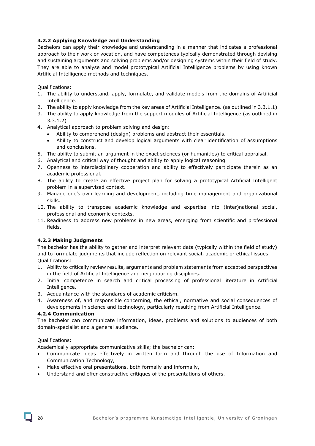# **4.2.2 Applying Knowledge and Understanding**

Bachelors can apply their knowledge and understanding in a manner that indicates a professional approach to their work or vocation, and have competences typically demonstrated through devising and sustaining arguments and solving problems and/or designing systems within their field of study. They are able to analyse and model prototypical Artificial Intelligence problems by using known Artificial Intelligence methods and techniques.

Qualifications:

- 1. The ability to understand, apply, formulate, and validate models from the domains of Artificial Intelligence.
- 2. The ability to apply knowledge from the key areas of Artificial Intelligence. (as outlined in 3.3.1.1)
- 3. The ability to apply knowledge from the support modules of Artificial Intelligence (as outlined in 3.3.1.2)
- 4. Analytical approach to problem solving and design:
	- Ability to comprehend (design) problems and abstract their essentials.
	- Ability to construct and develop logical arguments with clear identification of assumptions and conclusions.
- 5. The ability to submit an argument in the exact sciences (or humanities) to critical appraisal.
- 6. Analytical and critical way of thought and ability to apply logical reasoning.
- 7. Openness to interdisciplinary cooperation and ability to effectively participate therein as an academic professional.
- 8. The ability to create an effective project plan for solving a prototypical Artificial Intelligent problem in a supervised context.
- 9. Manage one's own learning and development, including time management and organizational skills.
- 10. The ability to transpose academic knowledge and expertise into (inter)national social, professional and economic contexts.
- 11. Readiness to address new problems in new areas, emerging from scientific and professional fields.

# **4.2.3 Making Judgments**

The bachelor has the ability to gather and interpret relevant data (typically within the field of study) and to formulate judgments that include reflection on relevant social, academic or ethical issues. Qualifications:

- 1. Ability to critically review results, arguments and problem statements from accepted perspectives in the field of Artificial Intelligence and neighbouring disciplines.
- 2. Initial competence in search and critical processing of professional literature in Artificial Intelligence.
- 3. Acquaintance with the standards of academic criticism.
- 4. Awareness of, and responsible concerning, the ethical, normative and social consequences of developments in science and technology, particularly resulting from Artificial Intelligence.

#### **4.2.4 Communication**

The bachelor can communicate information, ideas, problems and solutions to audiences of both domain-specialist and a general audience.

#### Qualifications:

Academically appropriate communicative skills; the bachelor can:

- Communicate ideas effectively in written form and through the use of Information and Communication Technology,
- Make effective oral presentations, both formally and informally,
- Understand and offer constructive critiques of the presentations of others.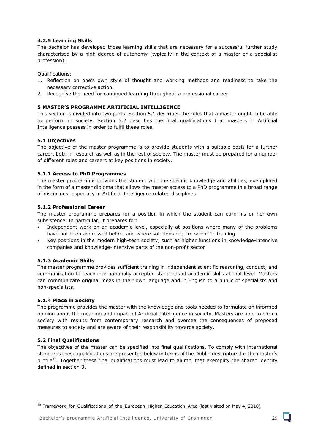# **4.2.5 Learning Skills**

The bachelor has developed those learning skills that are necessary for a successful further study characterised by a high degree of autonomy (typically in the context of a master or a specialist profession).

Qualifications:

- 1. Reflection on one's own style of thought and working methods and readiness to take the necessary corrective action.
- 2. Recognise the need for continued learning throughout a professional career

# **5 MASTER'S PROGRAMME ARTIFICIAL INTELLIGENCE**

This section is divided into two parts. Section 5.1 describes the roles that a master ought to be able to perform in society. Section 5.2 describes the final qualifications that masters in Artificial Intelligence possess in order to fulfil these roles.

# **5.1 Objectives**

The objective of the master programme is to provide students with a suitable basis for a further career, both in research as well as in the rest of society. The master must be prepared for a number of different roles and careers at key positions in society.

# **5.1.1 Access to PhD Programmes**

The master programme provides the student with the specific knowledge and abilities, exemplified in the form of a master diploma that allows the master access to a PhD programme in a broad range of disciplines, especially in Artificial Intelligence related disciplines.

# **5.1.2 Professional Career**

The master programme prepares for a position in which the student can earn his or her own subsistence. In particular, it prepares for:

- Independent work on an academic level, especially at positions where many of the problems have not been addressed before and where solutions require scientific training
- Key positions in the modern high-tech society, such as higher functions in knowledge-intensive companies and knowledge-intensive parts of the non-profit sector

# **5.1.3 Academic Skills**

The master programme provides sufficient training in independent scientific reasoning, conduct, and communication to reach internationally accepted standards of academic skills at that level. Masters can communicate original ideas in their own language and in English to a public of specialists and non-specialists.

# **5.1.4 Place in Society**

The programme provides the master with the knowledge and tools needed to formulate an informed opinion about the meaning and impact of Artificial Intelligence in society. Masters are able to enrich society with results from contemporary research and oversee the consequences of proposed measures to society and are aware of their responsibility towards society.

#### **5.2 Final Qualifications**

The objectives of the master can be specified into final qualifications. To comply with international standards these qualifications are presented below in terms of the Dublin descriptors for the master's profile<sup>10</sup>. Together these final qualifications must lead to alumni that exemplify the shared identity defined in section 3.

<sup>-</sup><sup>10</sup> Framework for Qualifications of the European Higher Education Area (last visited on May 4, 2018)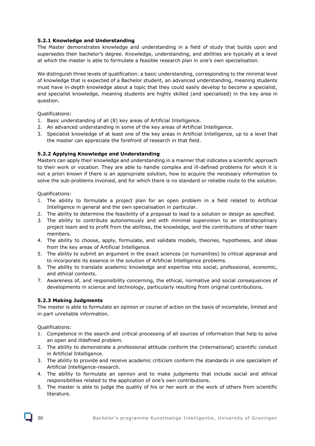# **5.2.1 Knowledge and Understanding**

The Master demonstrates knowledge and understanding in a field of study that builds upon and supersedes their bachelor's degree. Knowledge, understanding, and abilities are typically at a level at which the master is able to formulate a feasible research plan in one's own specialisation.

We distinguish three levels of qualification: a basic understanding, corresponding to the minimal level of knowledge that is expected of a Bachelor student, an advanced understanding, meaning students must have in-depth knowledge about a topic that they could easily develop to become a specialist, and specialist knowledge, meaning students are highly skilled (and specialised) in the key area in question.

Qualifications:

- 1. Basic understanding of all (8) key areas of Artificial Intelligence.
- 2. An advanced understanding in some of the key areas of Artificial Intelligence.
- 3. Specialist knowledge of at least one of the key areas in Artificial Intelligence, up to a level that the master can appreciate the forefront of research in that field.

# **5.2.2 Applying Knowledge and Understanding**

Masters can apply their knowledge and understanding in a manner that indicates a scientific approach to their work or vocation. They are able to handle complex and ill-defined problems for which it is not a priori known if there is an appropriate solution, how to acquire the necessary information to solve the sub-problems involved, and for which there is no standard or reliable route to the solution.

Qualifications:

- 1. The ability to formulate a project plan for an open problem in a field related to Artificial Intelligence in general and the own specialisation in particular.
- 2. The ability to determine the feasibility of a proposal to lead to a solution or design as specified.
- 3. The ability to contribute autonomously and with minimal supervision to an interdisciplinary project team and to profit from the abilities, the knowledge, and the contributions of other team members.
- 4. The ability to choose, apply, formulate, and validate models, theories, hypotheses, and ideas from the key areas of Artificial Intelligence.
- 5. The ability to submit an argument in the exact sciences (or humanities) to critical appraisal and to incorporate its essence in the solution of Artificial Intelligence problems.
- 6. The ability to translate academic knowledge and expertise into social, professional, economic, and ethical contexts.
- 7. Awareness of, and responsibility concerning, the ethical, normative and social consequences of developments in science and technology, particularly resulting from original contributions.

# **5.2.3 Making Judgments**

The master is able to formulate an opinion or course of action on the basis of incomplete, limited and in part unreliable information.

Qualifications:

- 1. Competence in the search and critical processing of all sources of information that help to solve an open and illdefined problem.
- 2. The ability to demonstrate a professional attitude conform the (international) scientific conduct in Artificial Intelligence.
- 3. The ability to provide and receive academic criticism conform the standards in one specialism of Artificial Intelligence-research.
- 4. The ability to formulate an opinion and to make judgments that include social and ethical responsibilities related to the application of one's own contributions.
- 5. The master is able to judge the quality of his or her work or the work of others from scientific literature.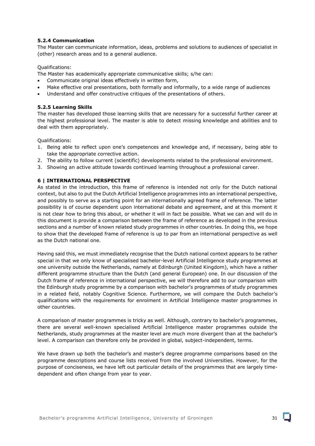# **5.2.4 Communication**

The Master can communicate information, ideas, problems and solutions to audiences of specialist in (other) research areas and to a general audience.

# Qualifications:

The Master has academically appropriate communicative skills; s/he can:

- Communicate original ideas effectively in written form,
- Make effective oral presentations, both formally and informally, to a wide range of audiences
- Understand and offer constructive critiques of the presentations of others.

# **5.2.5 Learning Skills**

The master has developed those learning skills that are necessary for a successful further career at the highest professional level. The master is able to detect missing knowledge and abilities and to deal with them appropriately.

Qualifications:

- 1. Being able to reflect upon one's competences and knowledge and, if necessary, being able to take the appropriate corrective action.
- 2. The ability to follow current (scientific) developments related to the professional environment.
- 3. Showing an active attitude towards continued learning throughout a professional career.

# **6 | INTERNATIONAL PERSPECTIVE**

As stated in the introduction, this frame of reference is intended not only for the Dutch national context, but also to put the Dutch Artificial Intelligence programmes into an international perspective, and possibly to serve as a starting point for an internationally agreed frame of reference. The latter possibility is of course dependent upon international debate and agreement, and at this moment it is not clear how to bring this about, or whether it will in fact be possible. What we can and will do in this document is provide a comparison between the frame of reference as developed in the previous sections and a number of known related study programmes in other countries. In doing this, we hope to show that the developed frame of reference is up to par from an international perspective as well as the Dutch national one.

Having said this, we must immediately recognise that the Dutch national context appears to be rather special in that we only know of specialised bachelor-level Artificial Intelligence study programmes at one university outside the Netherlands, namely at Edinburgh (United Kingdom), which have a rather different programme structure than the Dutch (and general European) one. In our discussion of the Dutch frame of reference in international perspective, we will therefore add to our comparison with the Edinburgh study programme by a comparison with bachelor's programmes of study programmes in a related field, notably Cognitive Science. Furthermore, we will compare the Dutch bachelor's qualifications with the requirements for enrolment in Artificial Intelligence master programmes in other countries.

A comparison of master programmes is tricky as well. Although, contrary to bachelor's programmes, there are several well-known specialised Artificial Intelligence master programmes outside the Netherlands, study programmes at the master level are much more divergent than at the bachelor's level. A comparison can therefore only be provided in global, subject-independent, terms.

We have drawn up both the bachelor's and master's degree programme comparisons based on the programme descriptions and course lists received from the involved Universities. However, for the purpose of conciseness, we have left out particular details of the programmes that are largely timedependent and often change from year to year.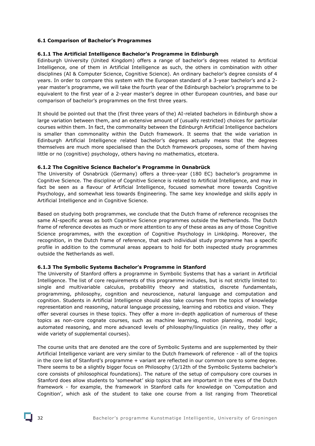# **6.1 Comparison of Bachelor's Programmes**

# **6.1.1 The Artificial Intelligence Bachelor's Programme in Edinburgh**

Edinburgh University (United Kingdom) offers a range of bachelor's degrees related to Artificial Intelligence, one of them in Artificial Intelligence as such, the others in combination with other disciplines (AI & Computer Science, Cognitive Science). An ordinary bachelor's degree consists of 4 years. In order to compare this system with the European standard of a 3-year bachelor's and a 2 year master's programme, we will take the fourth year of the Edinburgh bachelor's programme to be equivalent to the first year of a 2-year master's degree in other European countries, and base our comparison of bachelor's programmes on the first three years.

It should be pointed out that the (first three years of the) AI-related bachelors in Edinburgh show a large variation between them, and an extensive amount of (usually restricted) choices for particular courses within them. In fact, the commonality between the Edinburgh Artificial Intelligence bachelors is smaller than commonality within the Dutch framework. It seems that the wide variation in Edinburgh Artificial Intelligence related bachelor's degrees actually means that the degrees themselves are much more specialised than the Dutch framework proposes, some of them having little or no (cognitive) psychology, others having no mathematics, etcetera.

#### **6.1.2 The Cognitive Science Bachelor's Programme in Osnabrück**

The University of Osnabrück (Germany) offers a three-year (180 EC) bachelor's programme in Cognitive Science. The discipline of Cognitive Science is related to Artificial Intelligence, and may in fact be seen as a flavour of Artificial Intelligence, focused somewhat more towards Cognitive Psychology, and somewhat less towards Engineering. The same key knowledge and skills apply in Artificial Intelligence and in Cognitive Science.

Based on studying both programmes, we conclude that the Dutch frame of reference recognises the same AI-specific areas as both Cognitive Science programmes outside the Netherlands. The Dutch frame of reference devotes as much or more attention to any of these areas as any of those Cognitive Science programmes, with the exception of Cognitive Psychology in Linköping. Moreover, the recognition, in the Dutch frame of reference, that each individual study programme has a specific profile in addition to the communal areas appears to hold for both inspected study programmes outside the Netherlands as well.

#### **6.1.3 The Symbolic Systems Bachelor's Programme in Stanford**

The University of Stanford offers a programme in Symbolic Systems that has a variant in Artificial Intelligence. The list of core requirements of this programme includes, but is not strictly limited to: single and multivariable calculus, probability theory and statistics, discrete fundamentals, programming, philosophy, cognition and neuroscience, natural language and computation and cognition. Students in Artificial Intelligence should also take courses from the topics of knowledge representation and reasoning, natural language processing, learning and robotics and vision. They offer several courses in these topics. They offer a more in-depth application of numerous of these topics as non-core cognate courses, such as machine learning, motion planning, modal logic, automated reasoning, and more advanced levels of philosophy/linguistics (in reality, they offer a wide variety of supplemental courses).

The course units that are denoted are the core of Symbolic Systems and are supplemented by their Artificial Intelligence variant are very similar to the Dutch framework of reference - all of the topics in the core list of Stanford's programme + variant are reflected in our common core to some degree. There seems to be a slightly bigger focus on Philosophy (3/12th of the Symbolic Systems bachelor's core consists of philosophical foundations). The nature of the setup of compulsory core courses in Stanford does allow students to 'somewhat' skip topics that are important in the eyes of the Dutch framework - for example, the framework in Stanford calls for knowledge on 'Computation and Cognition', which ask of the student to take one course from a list ranging from Theoretical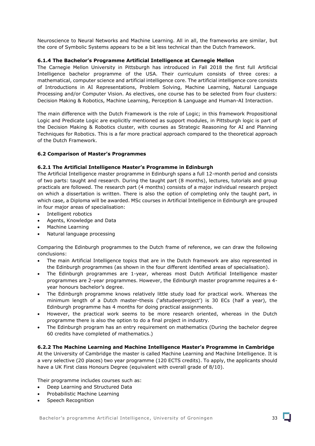Neuroscience to Neural Networks and Machine Learning. All in all, the frameworks are similar, but the core of Symbolic Systems appears to be a bit less technical than the Dutch framework.

# **6.1.4 The Bachelor's Programme Artificial Intelligence at Carnegie Mellon**

The Carnegie Mellon University in Pittsburgh has introduced in Fall 2018 the first full Artificial Intelligence bachelor programme of the USA. Their curriculum consists of three cores: a mathematical, computer science and artificial intelligence core. The artificial intelligence core consists of Introductions in AI Representations, Problem Solving, Machine Learning, Natural Language Processing and/or Computer Vision. As electives, one course has to be selected from four clusters: Decision Making & Robotics, Machine Learning, Perception & Language and Human-AI Interaction.

The main difference with the Dutch Framework is the role of Logic; in this framework Propositional Logic and Predicate Logic are explicitly mentioned as support modules, in Pittsburgh logic is part of the Decision Making & Robotics cluster, with courses as Strategic Reasoning for AI and Planning Techniques for Robotics. This is a far more practical approach compared to the theoretical approach of the Dutch Framework.

# **6.2 Comparison of Master's Programmes**

# **6.2.1 The Artificial Intelligence Master's Programme in Edinburgh**

The Artificial Intelligence master programme in Edinburgh spans a full 12-month period and consists of two parts: taught and research. During the taught part (8 months), lectures, tutorials and group practicals are followed. The research part (4 months) consists of a major individual research project on which a dissertation is written. There is also the option of completing only the taught part, in which case, a Diploma will be awarded. MSc courses in Artificial Intelligence in Edinburgh are grouped in four major areas of specialisation:

- Intelligent robotics
- Agents, Knowledge and Data
- Machine Learning
- Natural language processing

Comparing the Edinburgh programmes to the Dutch frame of reference, we can draw the following conclusions:

- The main Artificial Intelligence topics that are in the Dutch framework are also represented in the Edinburgh programmes (as shown in the four different identified areas of specialisation).
- The Edinburgh programmes are 1-year, whereas most Dutch Artificial Intelligence master programmes are 2-year programmes. However, the Edinburgh master programme requires a 4 year honours bachelor's degree.
- The Edinburgh programme knows relatively little study load for practical work. Whereas the minimum length of a Dutch master-thesis ('afstudeerproject') is 30 ECs (half a year), the Edinburgh programme has 4 months for doing practical assignments.
- However, the practical work seems to be more research oriented, whereas in the Dutch programme there is also the option to do a final project in industry.
- The Edinburgh program has an entry requirement on mathematics (During the bachelor degree 60 credits have completed of mathematics.)

# **6.2.2 The Machine Learning and Machine Intelligence Master's Programme in Cambridge**

At the University of Cambridge the master is called Machine Learning and Machine Intelligence. It is a very selective (20 places) two year programme (120 ECTS credits). To apply, the applicants should have a UK First class Honours Degree (equivalent with overall grade of 8/10).

Their programme includes courses such as:

- Deep Learning and Structured Data
- Probabilistic Machine Learning
- Speech Recognition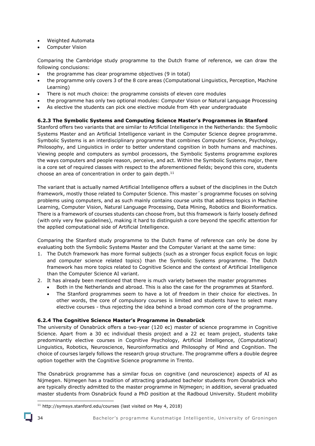- Weighted Automata
- Computer Vision

Comparing the Cambridge study programme to the Dutch frame of reference, we can draw the following conclusions:

- the programme has clear programme objectives (9 in total)
- the programme only covers 3 of the 8 core areas (Computational Linguistics, Perception, Machine Learning)
- There is not much choice: the programme consists of eleven core modules
- the programme has only two optional modules: Computer Vision or Natural Language Processing
- As elective the students can pick one elective module from 4th year undergraduate

# **6.2.3 The Symbolic Systems and Computing Science Master's Programmes in Stanford**

Stanford offers two variants that are similar to Artificial Intelligence in the Netherlands: the Symbolic Systems Master and an Artificial Intelligence variant in the Computer Science degree programme. Symbolic Systems is an interdisciplinary programme that combines Computer Science, Psychology, Philosophy, and Linguistics in order to better understand cognition in both humans and machines. Viewing people and computers as symbol processors, the Symbolic Systems programme explores the ways computers and people reason, perceive, and act. Within the Symbolic Systems major, there is a core set of required classes with respect to the aforementioned fields; beyond this core, students choose an area of concentration in order to gain depth. $11$ 

The variant that is actually named Artificial Intelligence offers a subset of the disciplines in the Dutch framework, mostly those related to Computer Science. This master´s programme focuses on solving problems using computers, and as such mainly contains course units that address topics in Machine Learning, Computer Vision, Natural Language Processing, Data Mining, Robotics and Bioinformatics. There is a framework of courses students can choose from, but this framework is fairly loosely defined (with only very few guidelines), making it hard to distinguish a core beyond the specific attention for the applied computational side of Artificial Intelligence.

Comparing the Stanford study programme to the Dutch frame of reference can only be done by evaluating both the Symbolic Systems Master and the Computer Variant at the same time:

- 1. The Dutch framework has more formal subjects (such as a stronger focus explicit focus on logic and computer science related topics) than the Symbolic Systems programme. The Dutch framework has more topics related to Cognitive Science and the context of Artificial Intelligence than the Computer Science AI variant.
- 2. It has already been mentioned that there is much variety between the master programmes
	- Both in the Netherlands and abroad. This is also the case for the programmes at Stanford.
	- The Stanford programmes seem to have a lot of freedom in their choice for electives. In other words, the core of compulsory courses is limited and students have to select many elective courses - thus rejecting the idea behind a broad common core of the programme.

# **6.2.4 The Cognitive Science Master's Programme in Osnabrück**

The university of Osnabrück offers a two-year (120 ec) master of science programme in Cognitive Science. Apart from a 30 ec individual thesis project and a 22 ec team project, students take predominantly elective courses in Cognitive Psychology, Artificial Intelligence, (Computational) Linguistics, Robotics, Neuroscience, Neuroinformatics and Philosophy of Mind and Cognition. The choice of courses largely follows the research group structure. The programme offers a double degree option together with the Cognitive Science programme in Trento.

The Osnabrück programme has a similar focus on cognitive (and neuroscience) aspects of AI as Nijmegen. Nijmegen has a tradition of attracting graduated bachelor students from Osnabrück who are typically directly admitted to the master programme in Nijmegen; in addition, several graduated master students from Osnabrück found a PhD position at the Radboud University. Student mobility

-

 $11$  http://symsys.stanford.edu/courses (last visited on May 4, 2018)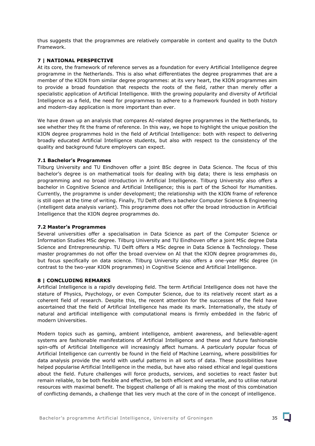thus suggests that the programmes are relatively comparable in content and quality to the Dutch Framework.

# **7 | NATIONAL PERSPECTIVE**

At its core, the framework of reference serves as a foundation for every Artificial Intelligence degree programme in the Netherlands. This is also what differentiates the degree programmes that are a member of the KION from similar degree programmes: at its very heart, the KION programmes aim to provide a broad foundation that respects the roots of the field, rather than merely offer a specialistic application of Artificial Intelligence. With the growing popularity and diversity of Artificial Intelligence as a field, the need for programmes to adhere to a framework founded in both history and modern-day application is more important than ever.

We have drawn up an analysis that compares AI-related degree programmes in the Netherlands, to see whether they fit the frame of reference. In this way, we hope to highlight the unique position the KION degree programmes hold in the field of Artificial Intelligence: both with respect to delivering broadly educated Artificial Intelligence students, but also with respect to the consistency of the quality and background future employers can expect.

#### **7.1 Bachelor's Programmes**

Tilburg University and TU Eindhoven offer a joint BSc degree in Data Science. The focus of this bachelor's degree is on mathematical tools for dealing with big data; there is less emphasis on programming and no broad introduction in Artificial Intelligence. Tilburg University also offers a bachelor in Cognitive Science and Artificial Intelligence; this is part of the School for Humanities. Currently, the programme is under development; the relationship with the KION frame of reference is still open at the time of writing. Finally, TU Delft offers a bachelor Computer Science & Engineering (intelligent data analysis variant). This programme does not offer the broad introduction in Artificial Intelligence that the KION degree programmes do.

#### **7.2 Master's Programmes**

Several universities offer a specialisation in Data Science as part of the Computer Science or Information Studies MSc degree. Tilburg University and TU Eindhoven offer a joint MSc degree Data Science and Entrepreneurship. TU Delft offers a MSc degree in Data Science & Technology. These master programmes do not offer the broad overview on AI that the KION degree programmes do, but focus specifically on data science. Tilburg University also offers a one-year MSc degree (in contrast to the two-year KION programmes) in Cognitive Science and Artificial Intelligence.

#### **8 | CONCLUDING REMARKS**

Artificial Intelligence is a rapidly developing field. The term Artificial Intelligence does not have the stature of Physics, Psychology, or even Computer Science, due to its relatively recent start as a coherent field of research. Despite this, the recent attention for the successes of the field have ascertained that the field of Artificial Intelligence has made its mark. Internationally, the study of natural and artificial intelligence with computational means is firmly embedded in the fabric of modern Universities.

Modern topics such as gaming, ambient intelligence, ambient awareness, and believable-agent systems are fashionable manifestations of Artificial Intelligence and these and future fashionable spin-offs of Artificial Intelligence will increasingly affect humans. A particularly popular focus of Artificial Intelligence can currently be found in the field of Machine Learning, where possibilities for data analysis provide the world with useful patterns in all sorts of data. These possibilities have helped popularise Artificial Intelligence in the media, but have also raised ethical and legal questions about the field. Future challenges will force products, services, and societies to react faster but remain reliable, to be both flexible and effective, be both efficient and versatile, and to utilise natural resources with maximal benefit. The biggest challenge of all is making the most of this combination of conflicting demands, a challenge that lies very much at the core of in the concept of intelligence.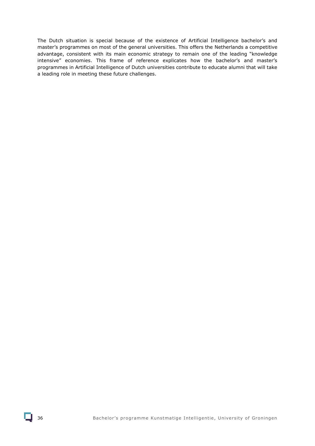The Dutch situation is special because of the existence of Artificial Intelligence bachelor's and master's programmes on most of the general universities. This offers the Netherlands a competitive advantage, consistent with its main economic strategy to remain one of the leading "knowledge intensive" economies. This frame of reference explicates how the bachelor's and master's programmes in Artificial Intelligence of Dutch universities contribute to educate alumni that will take a leading role in meeting these future challenges.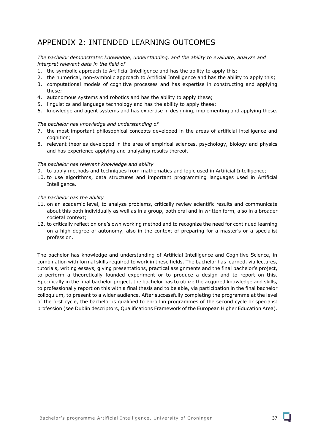# <span id="page-36-0"></span>APPENDIX 2: INTENDED LEARNING OUTCOMES

# *The bachelor demonstrates knowledge, understanding, and the ability to evaluate, analyze and interpret relevant data in the field of*

- 1. the symbolic approach to Artificial Intelligence and has the ability to apply this;
- 2. the numerical, non-symbolic approach to Artificial Intelligence and has the ability to apply this;
- 3. computational models of cognitive processes and has expertise in constructing and applying these;
- 4. autonomous systems and robotics and has the ability to apply these;
- 5. linguistics and language technology and has the ability to apply these;
- 6. knowledge and agent systems and has expertise in designing, implementing and applying these.

#### *The bachelor has knowledge and understanding of*

- 7. the most important philosophical concepts developed in the areas of artificial intelligence and cognition;
- 8. relevant theories developed in the area of empirical sciences, psychology, biology and physics and has experience applying and analyzing results thereof.

#### *The bachelor has relevant knowledge and ability*

- 9. to apply methods and techniques from mathematics and logic used in Artificial Intelligence;
- 10. to use algorithms, data structures and important programming languages used in Artificial Intelligence.

# *The bachelor has the ability*

- 11. on an academic level, to analyze problems, critically review scientific results and communicate about this both individually as well as in a group, both oral and in written form, also in a broader societal context;
- 12. to critically reflect on one's own working method and to recognize the need for continued learning on a high degree of autonomy, also in the context of preparing for a master's or a specialist profession.

The bachelor has knowledge and understanding of Artificial Intelligence and Cognitive Science, in combination with formal skills required to work in these fields. The bachelor has learned, via lectures, tutorials, writing essays, giving presentations, practical assignments and the final bachelor's project, to perform a theoretically founded experiment or to produce a design and to report on this. Specifically in the final bachelor project, the bachelor has to utilize the acquired knowledge and skills, to professionally report on this with a final thesis and to be able, via participation in the final bachelor colloquium, to present to a wider audience. After successfully completing the programme at the level of the first cycle, the bachelor is qualified to enroll in programmes of the second cycle or specialist profession (see Dublin descriptors, Qualifications Framework of the European Higher Education Area).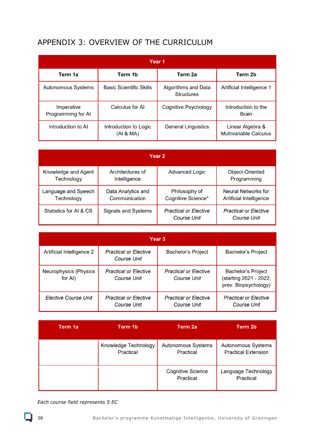# <span id="page-37-0"></span>APPENDIX 3: OVERVIEW OF THE CURRICULUM

| Year 1                           |                                    |                                                 |                                                   |
|----------------------------------|------------------------------------|-------------------------------------------------|---------------------------------------------------|
| Term 1a                          | Term 1b                            | Term 2a                                         | Term 2b                                           |
| <b>Autonomous Systems</b>        | <b>Basic Scientific Skills</b>     | <b>Algorithms and Data</b><br><b>Structures</b> | Artificial Intelligence 1                         |
| Imperative<br>Programming for AI | Calculus for AI                    | <b>Cognitive Psychology</b>                     | Introduction to the<br><b>Brain</b>               |
| Introduction to AI               | Introduction to Logic<br>(AI & MA) | <b>General Linguistics</b>                      | Linear Algebra &<br><b>Multivariable Calculus</b> |

| Year <sub>2</sub>      |                            |                                                    |                                                    |
|------------------------|----------------------------|----------------------------------------------------|----------------------------------------------------|
| Knowledge and Agent    | Architectures of           | <b>Advanced Logic</b>                              | Object-Oriented                                    |
| Technology             | Intelligence               |                                                    | Programming                                        |
| Language and Speech    | Data Analytics and         | Philosophy of                                      | <b>Neural Networks for</b>                         |
| Technology             | Communication              | Cognitive Science*                                 | Artificial Intelligence                            |
| Statistics for AI & CS | <b>Signals and Systems</b> | <b>Practical or Elective</b><br><b>Course Unit</b> | <b>Practical or Elective</b><br><b>Course Unit</b> |

| Year <sub>3</sub>                |                                                    |                                                    |                                                                             |
|----------------------------------|----------------------------------------------------|----------------------------------------------------|-----------------------------------------------------------------------------|
| Artificial Intelligence 2        | <b>Practical or Elective</b><br><b>Course Unit</b> | <b>Bachelor's Project</b>                          | Bachelor's Project                                                          |
| Neurophysics (Physics<br>for AI) | <b>Practical or Elective</b><br><b>Course Unit</b> | <b>Practical or Elective</b><br><b>Course Unit</b> | <b>Bachelor's Project</b><br>(starting 2021 - 2022;<br>prev. Biopsychology) |
| <b>Elective Course Unit</b>      | <b>Practical or Elective</b><br><b>Course Unit</b> | <b>Practical or Elective</b><br>Course Unit        | <b>Practical or Elective</b><br><b>Course Unit</b>                          |

| Term 1a | Term 1b                                  | Term 2a                                       | Term 2b                                                 |
|---------|------------------------------------------|-----------------------------------------------|---------------------------------------------------------|
|         | <b>Knowledge Technology</b><br>Practical | <b>Autonomous Systems</b><br><b>Practical</b> | <b>Autonomous Systems</b><br><b>Practical Extension</b> |
|         |                                          | <b>Cognitive Science</b><br><b>Practical</b>  | Language Technology<br>Practical                        |

*Each course field represents 5 EC*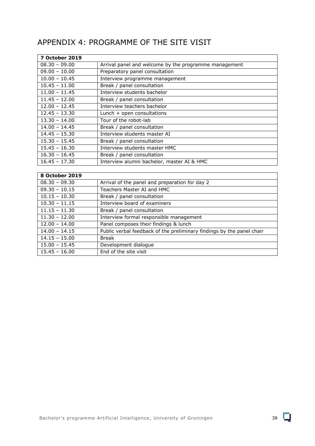# <span id="page-38-0"></span>APPENDIX 4: PROGRAMME OF THE SITE VISIT

| <b>7 October 2019</b> |                                                       |
|-----------------------|-------------------------------------------------------|
| $08.30 - 09.00$       | Arrival panel and welcome by the programme management |
| $09.00 - 10.00$       | Preparatory panel consultation                        |
| $10.00 - 10.45$       | Interview programme management                        |
| $10.45 - 11.00$       | Break / panel consultation                            |
| $11.00 - 11.45$       | Interview students bachelor                           |
| $11.45 - 12.00$       | Break / panel consultation                            |
| $12.00 - 12.45$       | Interview teachers bachelor                           |
| $12.45 - 13.30$       | Lunch + open consultations                            |
| $13.30 - 14.00$       | Tour of the robot-lab                                 |
| $14.00 - 14.45$       | Break / panel consultation                            |
| $14.45 - 15.30$       | Interview students master AI                          |
| $15.30 - 15.45$       | Break / panel consultation                            |
| $15.45 - 16.30$       | Interview students master HMC                         |
| $16.30 - 16.45$       | Break / panel consultation                            |
| $16.45 - 17.30$       | Interview alumni bachelor, master AI & HMC            |

| 8 October 2019  |                                                                       |
|-----------------|-----------------------------------------------------------------------|
| $08.30 - 09.30$ | Arrival of the panel and preparation for day 2                        |
| $09.30 - 10.15$ | Teachers Master AI and HMC                                            |
| $10.15 - 10.30$ | Break / panel consultation                                            |
| $10.30 - 11.15$ | Interview board of examiners                                          |
| $11.15 - 11.30$ | Break / panel consultation                                            |
| $11.30 - 12.00$ | Interview formal responsible management                               |
| $12.00 - 14.00$ | Panel composes their findings & lunch                                 |
| $14.00 - 14.15$ | Public verbal feedback of the preliminary findings by the panel chair |
| $14.15 - 15.00$ | Break                                                                 |
| $15.00 - 15.45$ | Development dialogue                                                  |
| $15.45 - 16.00$ | End of the site visit                                                 |